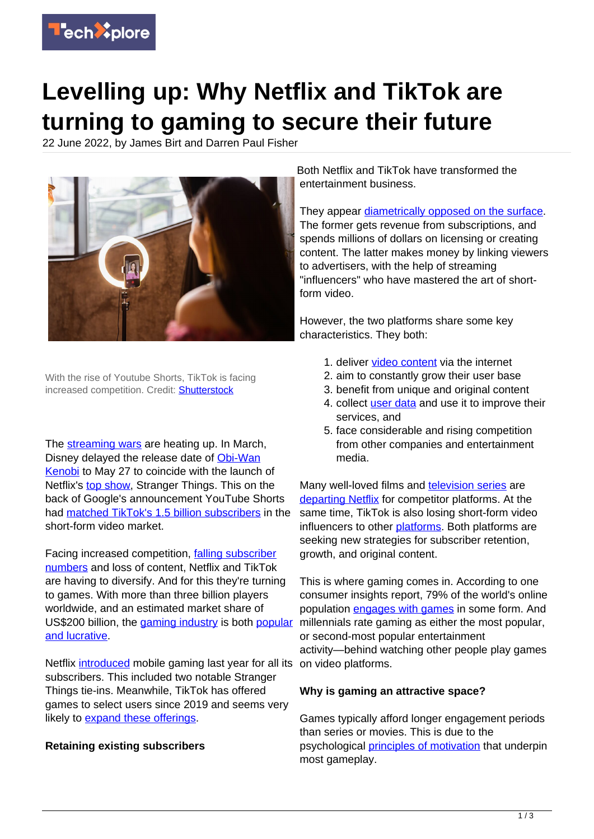

# **Levelling up: Why Netflix and TikTok are turning to gaming to secure their future**

22 June 2022, by James Birt and Darren Paul Fisher



With the rise of Youtube Shorts, TikTok is facing increased competition. Credit: **Shutterstock** 

The [streaming wars](https://www.cnbc.com/2022/05/29/netflix-and-rivals-enter-pivotal-second-act-of-streaming-wars-saga.html) are heating up. In March, Disney delayed the release date of [Obi-Wan](https://variety.com/2022/tv/news/obi-wan-kenobi-release-date-fridays-1235219887/) [Kenobi](https://variety.com/2022/tv/news/obi-wan-kenobi-release-date-fridays-1235219887/) to May 27 to coincide with the launch of Netflix's [top show,](https://top10.netflix.com/tv) Stranger Things. This on the back of Google's announcement YouTube Shorts had [matched TikTok's 1.5 billion subscribers](https://mashable.com/article/youtube-shorts-1-5-billion-monthly-users) in the short-form video market.

Facing increased competition, [falling subscriber](https://www.theguardian.com/media/2022/apr/20/netflix-shares-fall-losing-subscribers) [numbers](https://www.theguardian.com/media/2022/apr/20/netflix-shares-fall-losing-subscribers) and loss of content, Netflix and TikTok are having to diversify. And for this they're turning to games. With more than three billion players worldwide, and an estimated market share of US\$200 billion, the *[gaming industry](https://techxplore.com/tags/gaming+industry/)* is both *[popular](https://newzoo.com/insights/articles/games-market-revenues-will-pass-200-billion-for-the-first-time-in-2022-as-the-u-s-overtakes-china#:~:text=Yearly%20mobile%20game%20revenues%20will,driven%20growth%20of%20prior%20years.)* millennials rate gaming as either the most popular, [and lucrative.](https://newzoo.com/insights/articles/games-market-revenues-will-pass-200-billion-for-the-first-time-in-2022-as-the-u-s-overtakes-china#:~:text=Yearly%20mobile%20game%20revenues%20will,driven%20growth%20of%20prior%20years.)

Netflix *[introduced](https://about.netflix.com/en/news/let-the-games-begin-a-new-way-to-experience-entertainment-on-mobile)* mobile gaming last year for all its on video platforms. subscribers. This included two notable Stranger Things tie-ins. Meanwhile, TikTok has offered games to select users since 2019 and seems very likely to [expand these offerings](https://www.reuters.com/technology/exclusive-tiktok-plans-big-push-into-gaming-conducting-tests-vietnam-sources-2022-05-19/).

## **Retaining existing subscribers**

Both Netflix and TikTok have transformed the entertainment business.

They appear [diametrically opposed on the surface](https://doi.org/10.1093/joc/jqac020). The former gets revenue from subscriptions, and spends millions of dollars on licensing or creating content. The latter makes money by linking viewers to advertisers, with the help of streaming "influencers" who have mastered the art of shortform video.

However, the two platforms share some key characteristics. They both:

- 1. deliver [video content](https://techxplore.com/tags/video+content/) via the internet
- 2. aim to constantly grow their user base
- 3. benefit from unique and original content
- 4. collect [user data](https://techxplore.com/tags/user+data/) and use it to improve their services, and
- 5. face considerable and rising competition from other companies and entertainment media.

Many well-loved films and [television series](https://techxplore.com/tags/television+series/) are [departing Netflix](https://www.digitaltrends.com/movies/best-movies-leaving-netflix/) for competitor platforms. At the same time, TikTok is also losing short-form video influencers to other [platforms](https://www.hollywoodreporter.com/business/digital/tiktok-creators-youtube-shorts-amid-insane-subscriber-growth-1235002615/). Both platforms are seeking new strategies for subscriber retention, growth, and original content.

This is where gaming comes in. According to one consumer insights report, 79% of the world's online population [engages with games](https://newzoo.com/insights/trend-reports/how-consumers-are-engaging-with-games-in-2022) in some form. And or second-most popular entertainment activity—behind watching other people play games

## **Why is gaming an attractive space?**

Games typically afford longer engagement periods than series or movies. This is due to the psychological [principles of motivation](https://doi.org/10.3389/fpsyg.2019.01731) that underpin most gameplay.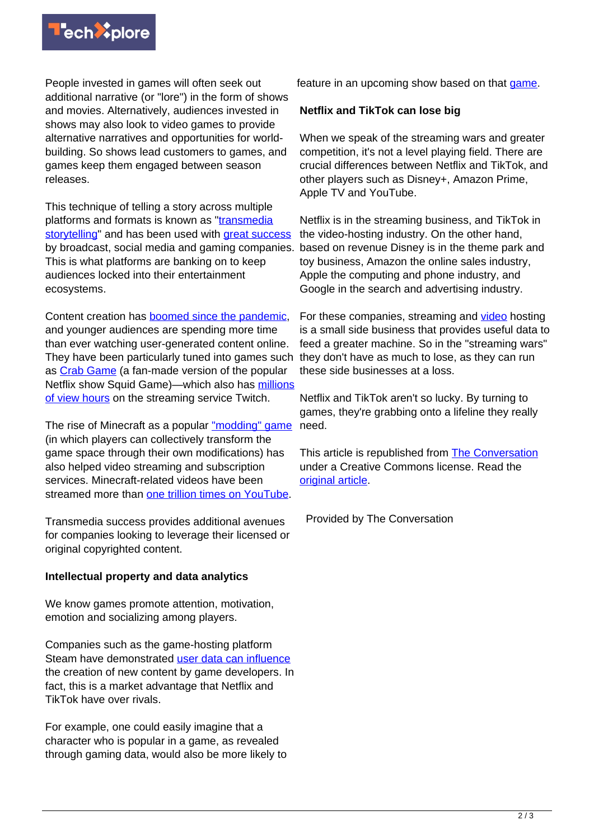

People invested in games will often seek out additional narrative (or "lore") in the form of shows and movies. Alternatively, audiences invested in shows may also look to video games to provide alternative narratives and opportunities for worldbuilding. So shows lead customers to games, and games keep them engaged between season releases.

This technique of telling a story across multiple platforms and formats is known as ["transmedia](https://www.oxfordreference.com/view/10.1093/acref/9780191800986.001.0001/acref-9780191800986-e-3472) [storytelling"](https://www.oxfordreference.com/view/10.1093/acref/9780191800986.001.0001/acref-9780191800986-e-3472) and has been used with [great success](https://www.forbes.com/sites/joeescobedo/2017/07/01/meet-the-man-behind-hollywood-and-fortune-500-firms-transmedia-success/?sh=3766654233da) by broadcast, social media and gaming companies. This is what platforms are banking on to keep audiences locked into their entertainment ecosystems.

Content creation has [boomed since the pandemic](https://www.forbes.com/sites/forbesagencycouncil/2021/11/18/four-reasons-why-the-creator-economy-is-booming/?sh=7534840b53de), and younger audiences are spending more time than ever watching user-generated content online. They have been particularly tuned into games such they don't have as much to lose, as they can run as [Crab Game](https://store.steampowered.com/app/1782210/Crab_Game/) (a fan-made version of the popular Netflix show Squid Game)—which also has [millions](https://sullygnome.com/game/Crab_Game) [of view hours](https://sullygnome.com/game/Crab_Game) on the streaming service Twitch.

The rise of Minecraft as a popular ["modding" game](https://www.forbes.com/sites/mattgardner1/2022/04/07/game-modding-offers-huge-financial-opportunities-for-studios-in-2022/?sh=1f40a3cb590d) (in which players can collectively transform the game space through their own modifications) has also helped video streaming and subscription services. Minecraft-related videos have been streamed more than [one trillion times on YouTube](https://www.youtube.com/trends/articles/minecraft-trillion/).

Transmedia success provides additional avenues for companies looking to leverage their licensed or original copyrighted content.

## **Intellectual property and data analytics**

We know games promote attention, motivation, emotion and socializing among players.

Companies such as the game-hosting platform Steam have demonstrated [user data can influence](https://store.steampowered.com/oldnews/2488) the creation of new content by game developers. In fact, this is a market advantage that Netflix and TikTok have over rivals.

For example, one could easily imagine that a character who is popular in a game, as revealed through gaming data, would also be more likely to feature in an upcoming show based on that [game.](https://techxplore.com/tags/game/)

### **Netflix and TikTok can lose big**

When we speak of the streaming wars and greater competition, it's not a level playing field. There are crucial differences between Netflix and TikTok, and other players such as Disney+, Amazon Prime, Apple TV and YouTube.

Netflix is in the streaming business, and TikTok in the video-hosting industry. On the other hand, based on revenue Disney is in the theme park and toy business, Amazon the online sales industry, Apple the computing and phone industry, and Google in the search and advertising industry.

For these companies, streaming and [video](https://techxplore.com/tags/video/) hosting is a small side business that provides useful data to feed a greater machine. So in the "streaming wars" these side businesses at a loss.

Netflix and TikTok aren't so lucky. By turning to games, they're grabbing onto a lifeline they really need.

This article is republished from [The Conversation](https://theconversation.com) under a Creative Commons license. Read the [original article](https://theconversation.com/levelling-up-why-netflix-and-tiktok-are-turning-to-gaming-to-secure-their-future-183990).

Provided by The Conversation